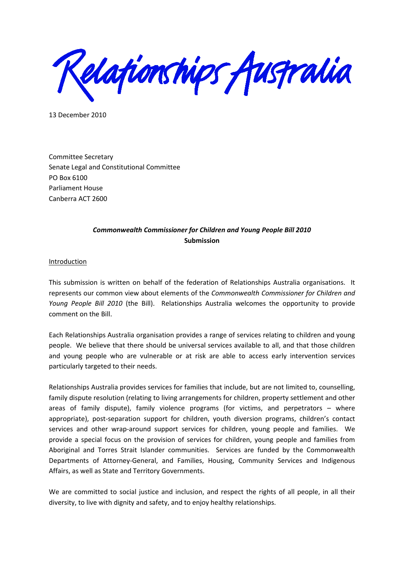elationships Australia

13 December 2010

Committee Secretary Senate Legal and Constitutional Committee PO Box 6100 Parliament House Canberra ACT 2600

## *Commonwealth Commissioner for Children and Young People Bill 2010* **Submission**

Introduction

This submission is written on behalf of the federation of Relationships Australia organisations. It represents our common view about elements of the *Commonwealth Commissioner for Children and Young People Bill 2010* (the Bill). Relationships Australia welcomes the opportunity to provide comment on the Bill.

Each Relationships Australia organisation provides a range of services relating to children and young people. We believe that there should be universal services available to all, and that those children and young people who are vulnerable or at risk are able to access early intervention services particularly targeted to their needs.

Relationships Australia provides services for families that include, but are not limited to, counselling, family dispute resolution (relating to living arrangements for children, property settlement and other areas of family dispute), family violence programs (for victims, and perpetrators – where appropriate), post-separation support for children, youth diversion programs, children's contact services and other wrap-around support services for children, young people and families. We provide a special focus on the provision of services for children, young people and families from Aboriginal and Torres Strait Islander communities. Services are funded by the Commonwealth Departments of Attorney-General, and Families, Housing, Community Services and Indigenous Affairs, as well as State and Territory Governments.

We are committed to social justice and inclusion, and respect the rights of all people, in all their diversity, to live with dignity and safety, and to enjoy healthy relationships.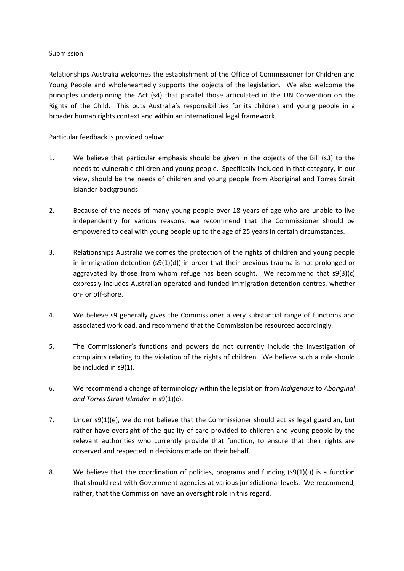## Submission

Relationships Australia welcomes the establishment of the Office of Commissioner for Children and Young People and wholeheartedly supports the objects of the legislation. We also welcome the principles underpinning the Act (s4) that parallel those articulated in the UN Convention on the Rights of the Child. This puts Australia's responsibilities for its children and young people in a broader human rights context and within an international legal framework.

Particular feedback is provided below:

- 1. We believe that particular emphasis should be given in the objects of the Bill (s3) to the needs to vulnerable children and young people. Specifically included in that category, in our view, should be the needs of children and young people from Aboriginal and Torres Strait Islander backgrounds.
- 2. Because of the needs of many young people over 18 years of age who are unable to live independently for various reasons, we recommend that the Commissioner should be empowered to deal with young people up to the age of 25 years in certain circumstances.
- 3. Relationships Australia welcomes the protection of the rights of children and young people in immigration detention (s9(1)(d)) in order that their previous trauma is not prolonged or aggravated by those from whom refuge has been sought. We recommend that  $\mathfrak{so}(3)(c)$ expressly includes Australian operated and funded immigration detention centres, whether on- or off-shore.
- 4. We believe s9 generally gives the Commissioner a very substantial range of functions and associated workload, and recommend that the Commission be resourced accordingly.
- 5. The Commissioner's functions and powers do not currently include the investigation of complaints relating to the violation of the rights of children. We believe such a role should be included in s9(1).
- 6. We recommend a change of terminology within the legislation from *Indigenous* to *Aboriginal and Torres Strait Islander* in s9(1)(c).
- 7. Under s9(1)(e), we do not believe that the Commissioner should act as legal guardian, but rather have oversight of the quality of care provided to children and young people by the relevant authorities who currently provide that function, to ensure that their rights are observed and respected in decisions made on their behalf.
- 8. We believe that the coordination of policies, programs and funding  $(s9(1)(i))$  is a function that should rest with Government agencies at various jurisdictional levels. We recommend, rather, that the Commission have an oversight role in this regard.